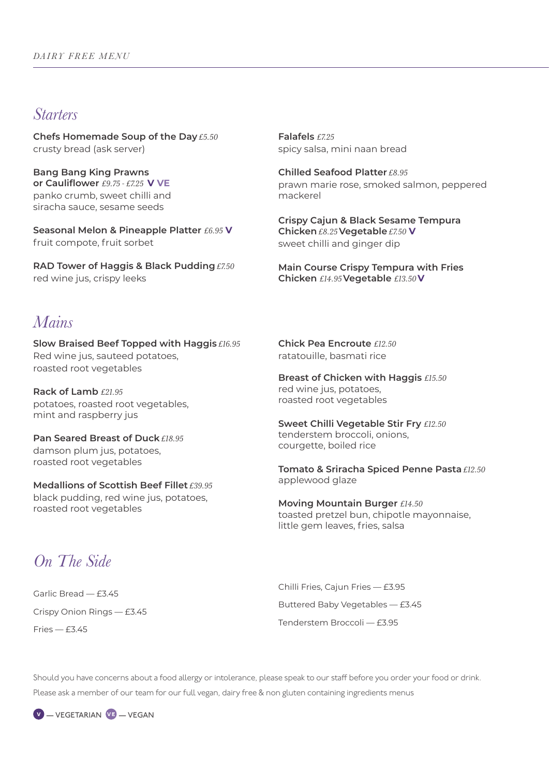#### *Starters*

**Chefs Homemade Soup of the Day** *£5.50* crusty bread (ask server)

**Bang Bang King Prawns or Cauliflower** *£9.75 - £7.25* **V VE** panko crumb, sweet chilli and siracha sauce, sesame seeds

**Seasonal Melon & Pineapple Platter** *£6.95* **V** fruit compote, fruit sorbet

**RAD Tower of Haggis & Black Pudding** *£7.50* red wine jus, crispy leeks

**Falafels** *£7.25* spicy salsa, mini naan bread

**Chilled Seafood Platter** *£8.95* prawn marie rose, smoked salmon, peppered mackerel

**Crispy Cajun & Black Sesame Tempura Chicken** *£8.25* **Vegetable** *£7.50* **V** sweet chilli and ginger dip

**Main Course Crispy Tempura with Fries Chicken** *£14.95* **Vegetable** *£13.50* **V**

#### *Mains*

**Slow Braised Beef Topped with Haggis** *£16.95* Red wine jus, sauteed potatoes, roasted root vegetables

**Rack of Lamb** *£21.95* potatoes, roasted root vegetables, mint and raspberry jus

**Pan Seared Breast of Duck** *£18.95* damson plum jus, potatoes, roasted root vegetables

**Medallions of Scottish Beef Fillet** *£39.95* black pudding, red wine jus, potatoes, roasted root vegetables

**Chick Pea Encroute** *£12.50* ratatouille, basmati rice

**Breast of Chicken with Haggis** *£15.50* red wine jus, potatoes, roasted root vegetables

**Sweet Chilli Vegetable Stir Fry** *£12.50* tenderstem broccoli, onions, courgette, boiled rice

**Tomato & Sriracha Spiced Penne Pasta** *£12.50* applewood glaze

**Moving Mountain Burger** *£14.50*  toasted pretzel bun, chipotle mayonnaise, little gem leaves, fries, salsa

## *On The Side*

Garlic Bread — £3.45 Crispy Onion Rings — £3.45 Fries — £3.45

Chilli Fries, Cajun Fries — £3.95 Buttered Baby Vegetables — £3.45 Tenderstem Broccoli — £3.95

Should you have concerns about a food allergy or intolerance, please speak to our staff before you order your food or drink. Please ask a member of our team for our full vegan, dairy free & non gluten containing ingredients menus